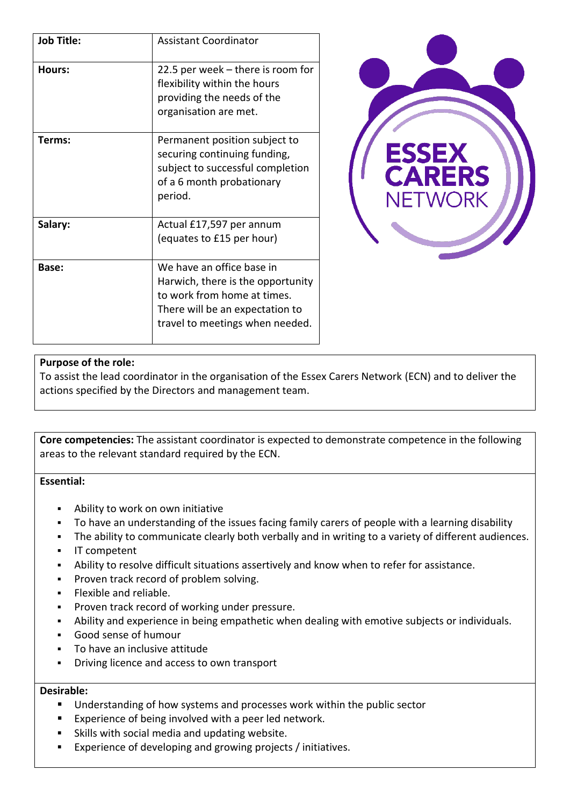| <b>Job Title:</b> | <b>Assistant Coordinator</b>                                                                                                                                        |
|-------------------|---------------------------------------------------------------------------------------------------------------------------------------------------------------------|
| Hours:            | 22.5 per week $-$ there is room for<br>flexibility within the hours<br>providing the needs of the<br>organisation are met.                                          |
| Terms:            | Permanent position subject to<br>securing continuing funding,<br>subject to successful completion<br>of a 6 month probationary<br>period.                           |
| Salary:           | Actual £17,597 per annum<br>(equates to £15 per hour)                                                                                                               |
| <b>Base:</b>      | We have an office base in<br>Harwich, there is the opportunity<br>to work from home at times.<br>There will be an expectation to<br>travel to meetings when needed. |



## **Purpose of the role:**

To assist the lead coordinator in the organisation of the Essex Carers Network (ECN) and to deliver the actions specified by the Directors and management team.

**Core competencies:** The assistant coordinator is expected to demonstrate competence in the following areas to the relevant standard required by the ECN.

**Essential:**

- Ability to work on own initiative
- To have an understanding of the issues facing family carers of people with a learning disability
- The ability to communicate clearly both verbally and in writing to a variety of different audiences.
- IT competent
- Ability to resolve difficult situations assertively and know when to refer for assistance.
- Proven track record of problem solving.
- Flexible and reliable.
- Proven track record of working under pressure.
- Ability and experience in being empathetic when dealing with emotive subjects or individuals.
- Good sense of humour
- To have an inclusive attitude
- Driving licence and access to own transport

## **Desirable:**

- Understanding of how systems and processes work within the public sector
- Experience of being involved with a peer led network.
- Skills with social media and updating website.
- Experience of developing and growing projects / initiatives.